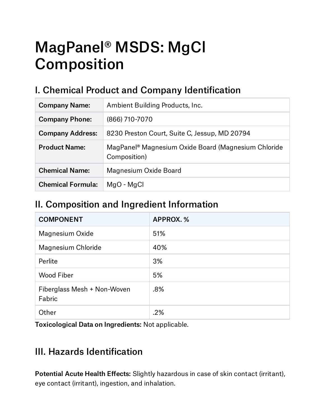# MagPanel® MSDS: MgCl Composition

# I. Chemical Product and Company Identification

| <b>Company Name:</b>     | Ambient Building Products, Inc.                                                 |
|--------------------------|---------------------------------------------------------------------------------|
| <b>Company Phone:</b>    | (866) 710-7070                                                                  |
| <b>Company Address:</b>  | 8230 Preston Court, Suite C, Jessup, MD 20794                                   |
| <b>Product Name:</b>     | MagPanel <sup>®</sup> Magnesium Oxide Board (Magnesium Chloride<br>Composition) |
| <b>Chemical Name:</b>    | Magnesium Oxide Board                                                           |
| <b>Chemical Formula:</b> | MgO - MgCl                                                                      |

#### II. Composition and Ingredient Information

| <b>COMPONENT</b>                      | APPROX.% |
|---------------------------------------|----------|
| Magnesium Oxide                       | 51%      |
| Magnesium Chloride                    | 40%      |
| Perlite                               | 3%       |
| <b>Wood Fiber</b>                     | 5%       |
| Fiberglass Mesh + Non-Woven<br>Fabric | .8%      |
| Other                                 | .2%      |

Toxicological Data on Ingredients: Not applicable.

#### III. Hazards Identification

Potential Acute Health Effects: Slightly hazardous in case of skin contact (irritant), eye contact (irritant), ingestion, and inhalation.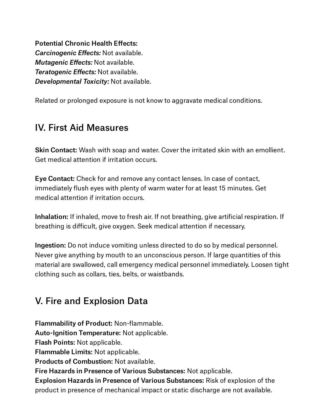Potential Chronic Health Effects: *Carcinogenic Effects:* Not available. *Mutagenic Effects:* Not available. *Teratogenic Effects:* Not available. *Developmental Toxicity:* Not available.

Related or prolonged exposure is not know to aggravate medical conditions.

#### IV. First Aid Measures

Skin Contact: Wash with soap and water. Cover the irritated skin with an emollient. Get medical attention if irritation occurs.

Eye Contact: Check for and remove any contact lenses. In case of contact, immediately flush eyes with plenty of warm water for at least 15 minutes. Get medical attention if irritation occurs.

Inhalation: If inhaled, move to fresh air. If not breathing, give artificial respiration. If breathing is difficult, give oxygen. Seek medical attention if necessary.

Ingestion: Do not induce vomiting unless directed to do so by medical personnel. Never give anything by mouth to an unconscious person. If large quantities of this material are swallowed, call emergency medical personnel immediately. Loosen tight clothing such as collars, ties, belts, or waistbands.

## V. Fire and Explosion Data

Flammability of Product: Non-flammable.

Auto-Ignition Temperature: Not applicable.

Flash Points: Not applicable.

Flammable Limits: Not applicable.

Products of Combustion: Not available.

Fire Hazards in Presence of Various Substances: Not applicable.

Explosion Hazards in Presence of Various Substances: Risk of explosion of the product in presence of mechanical impact or static discharge are not available.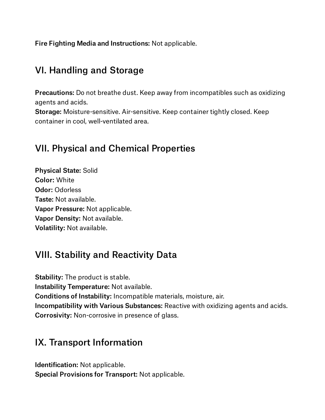Fire Fighting Media and Instructions: Not applicable.

#### VI. Handling and Storage

Precautions: Do not breathe dust. Keep away from incompatibles such as oxidizing agents and acids.

Storage: Moisture-sensitive. Air-sensitive. Keep container tightly closed. Keep container in cool, well-ventilated area.

#### VII. Physical and Chemical Properties

Physical State: Solid Color: White Odor: Odorless Taste: Not available. Vapor Pressure: Not applicable. Vapor Density: Not available. Volatility: Not available.

#### VIII. Stability and Reactivity Data

Stability: The product is stable. Instability Temperature: Not available. Conditions of Instability: Incompatible materials, moisture, air. Incompatibility with Various Substances: Reactive with oxidizing agents and acids. Corrosivity: Non-corrosive in presence of glass.

#### IX. Transport Information

Identification: Not applicable. Special Provisions for Transport: Not applicable.